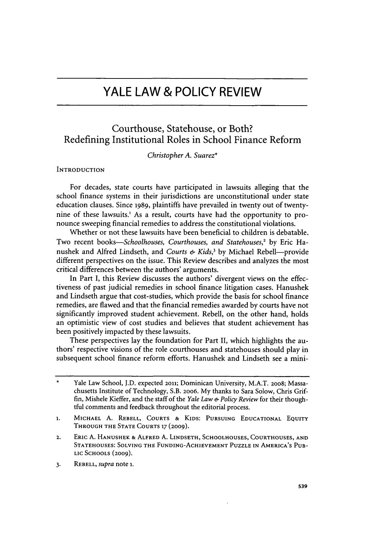# **YALE LAW & POLICY REVIEW**

## Courthouse, Statehouse, or Both? Redefining Institutional Roles in School Finance Reform

*Christopher A. Suarez\**

## **INTRODUCTION**

For decades, state courts have participated in lawsuits alleging that the school finance systems in their jurisdictions are unconstitutional under state education clauses. Since 1989, plaintiffs have prevailed in twenty out of twentynine of these lawsuits.' As a result, courts have had the opportunity to pronounce sweeping financial remedies to address the constitutional violations.

Whether or not these lawsuits have been beneficial to children is debatable. Two recent books-Schoolhouses, Courthouses, and Statehouses,<sup>2</sup> by Eric Hanushek and Alfred Lindseth, and *Courts & Kids,3* by Michael Rebell-provide different perspectives on the issue. This Review describes and analyzes the most critical differences between the authors' arguments.

In Part I, this Review discusses the authors' divergent views on the effectiveness of past judicial remedies in school finance litigation cases. Hanushek and Lindseth argue that cost-studies, which provide the basis for school finance remedies, are flawed and that the financial remedies awarded by courts have not significantly improved student achievement. Rebell, on the other hand, holds an optimistic view of cost studies and believes that student achievement has been positively impacted by these lawsuits.

These perspectives lay the foundation for Part II, which highlights the authors' respective visions of the role courthouses and statehouses should play in subsequent school finance reform efforts. Hanushek and Lindseth see a mini-

Yale Law School, J.D. expected 2011; Dominican University, M.A.T. 2008; Massachusetts Institute of Technology, S.B. **2006.** My thanks to Sara Solow, Chris Griffin, Mishele Kieffer, and the staff of the *Yale Law & Policy Review* for their thoughtful comments and feedback throughout the editorial process.

**<sup>1.</sup> MICHAEL** A. REBELL, **COURTS &** KIDS: **PURSUING EDUCATIONAL EQUITY** THROUGH THE **STATE COURTS 17** (2009).

**<sup>2.</sup>** ERIC **A. HANUSHEK &** ALFRED **A. LINDSETH, SCHOOLHOUSES, COURTHOUSES, AND STATEHOUSES: SOLVING** THE **FUNDING-ACHIEVEMENT** PUZZLE **IN AMERICA'S PUB-LIC SCHOOLS** (2009).

**<sup>3.</sup>** REBELL, *supra* note **1.**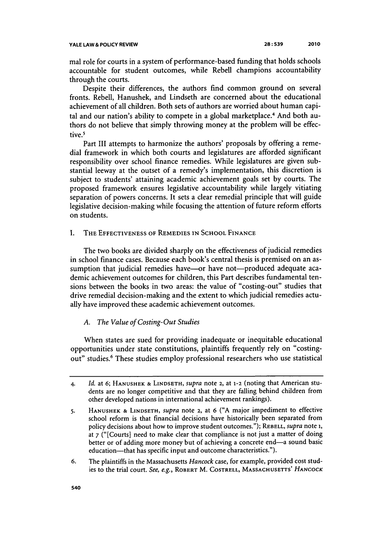mal role for courts in a system of performance-based funding that holds schools accountable for student outcomes, while Rebell champions accountability through the courts.

Despite their differences, the authors find common ground on several fronts. Rebell, Hanushek, and Lindseth are concerned about the educational achievement of all children. Both sets of authors are worried about human capital and our nation's ability to compete in a global marketplace.<sup>4</sup> And both authors do not believe that simply throwing money at the problem will be effective.<sup>5</sup>

Part III attempts to harmonize the authors' proposals by offering a remedial framework in which both courts and legislatures are afforded significant responsibility over school finance remedies. While legislatures are given substantial leeway at the outset of a remedy's implementation, this discretion is subject to students' attaining academic achievement goals set by courts. The proposed framework ensures legislative accountability while largely vitiating separation of powers concerns. It sets a clear remedial principle that will guide legislative decision-making while focusing the attention of future reform efforts on students.

## I. THE **EFFECTIVENESS OF** REMEDIES **IN SCHOOL FINANCE**

The two books are divided sharply on the effectiveness of judicial remedies in school finance cases. Because each book's central thesis is premised on an assumption that judicial remedies have—or have not—produced adequate academic achievement outcomes for children, this Part describes fundamental tensions between the books in two areas: the value of "costing-out" studies that drive remedial decision-making and the extent to which judicial remedies actually have improved these academic achievement outcomes.

## *A. The Value of Costing-Out Studies*

When states are sued for providing inadequate or inequitable educational opportunities under state constitutions, plaintiffs frequently rely on "costingout" studies.<sup>6</sup> These studies employ professional researchers who use statistical

<sup>4.</sup> *Id.* at **6; HANUSHEK & LINDSETH,** *supra* note 2, at 1-2 (noting that American students are no longer competitive and that they are falling behind children from other developed nations in international achievement rankings).

<sup>5.</sup> **HANUSHEK & LINDSETH,** *supra* note 2, at 6 ("A major impediment to effective school reform is that financial decisions have historically been separated from policy decisions about how to improve student outcomes."); REBELL, *supra* note **i,** at **7** ("[Courts] need to make clear that compliance is not just a matter of doing better or of adding more money but of achieving a concrete end—a sound basic education----that has specific input and outcome characteristics.").

<sup>6.</sup> The plaintiffs in the Massachusetts *Hancock* case, for example, provided cost studies to the trial court. *See, e.g.,* ROBERT M. COSTRELL, **MASSACHUSETTS'** *HANCOCK*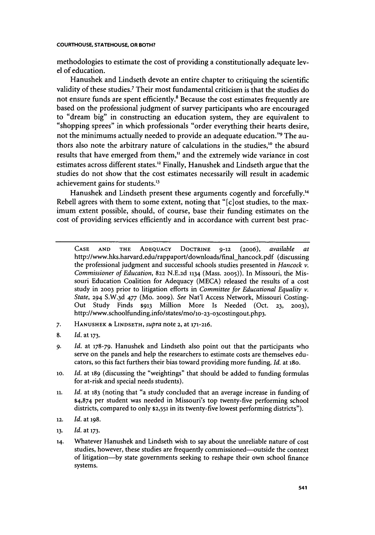methodologies to estimate the cost of providing a constitutionally adequate level of education.

Hanushek and Lindseth devote an entire chapter to critiquing the scientific validity of these studies.<sup>7</sup> Their most fundamental criticism is that the studies do not ensure funds are spent efficiently.<sup>8</sup> Because the cost estimates frequently are based on the professional judgment of survey participants who are encouraged to "dream big" in constructing an education system, they are equivalent to "shopping sprees" in which professionals "order everything their hearts desire, not the minimums actually needed to provide an adequate education."9 The authors also note the arbitrary nature of calculations in the studies,<sup>10</sup> the absurd results that have emerged from them," and the extremely wide variance in cost estimates across different states.'2 Finally, Hanushek and Lindseth argue that the studies do not show that the cost estimates necessarily will result in academic achievement gains for students.'<sup>3</sup>

Hanushek and Lindseth present these arguments cogently and forcefully.<sup>14</sup> Rebell agrees with them to some extent, noting that "[c]ost studies, to the maximum extent possible, should, of course, base their funding estimates on the cost of providing services efficiently and in accordance with current best prac-

CASE **AND** THE ADEQUACY DOCTRINE 9-12 *(20o6), available at* http://www.hks.harvard.edu/rappaport/downloads/final hancock.pdf (discussing the professional judgment and successful schools studies presented in *Hancock v. Commissioner of Education,* 822 N.E.2d 1134 (Mass. **2005)).** In Missouri, the Missouri Education Coalition for Adequacy (MECA) released the results of a cost study in **2003** prior to litigation efforts in *Committee for Educational Equality v. State,* 294 S.W.3d *477* (Mo. 2009). *See* Nat'l Access Network, Missouri Costing-Out Study Finds **\$913** Million More Is Needed (Oct. 23, 2003), http://www.schoolfunding.info/states/mo/lo-23-o3costingout.php3.

- *7.* HANUSHEK & LINDSETH, *supra* note 2, at 171-216.
- **8.** *Id.* at **173.**
- *9. Id.* at 178-79. Hanushek and Lindseth also point out that the participants who serve on the panels and help the researchers to estimate costs are themselves educators, so this fact furthers their bias toward providing more funding. *Id.* at 18o.
- **10.** *Id.* at 189 (discussing the "weightings" that should be added to funding formulas for at-risk and special needs students).
- *11. Id.* at 183 (noting that "a study concluded that an average increase in funding of \$4,874 per student was needed in Missouri's top twenty-five performing school districts, compared to only **\$2,551** in its twenty-five lowest performing districts").
- 12. *Id.* at 198.
- **13.** *Id.* at **173.**
- 14. Whatever Hanushek and Lindseth wish to say about the unreliable nature of cost studies, however, these studies are frequently commissioned-outside the context of litigation-by state governments seeking to reshape their own school finance systems.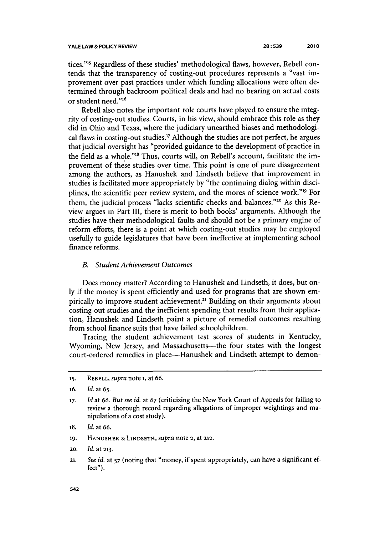#### **YALE LAW & POLICY REVIEW**

tices."'5 Regardless of these studies' methodological flaws, however, Rebell contends that the transparency of costing-out procedures represents a "vast improvement over past practices under which funding allocations were often determined through backroom political deals and had no bearing on actual costs or student need."<sup>16</sup>

Rebell also notes the important role courts have played to ensure the integrity of costing-out studies. Courts, in his view, should embrace this role as they did in Ohio and Texas, where the judiciary unearthed biases and methodological flaws in costing-out studies.<sup>17</sup> Although the studies are not perfect, he argues that judicial oversight has "provided guidance to the development of practice in the field as a whole."'8 Thus, courts will, on Rebell's account, facilitate the improvement of these studies over time. This point is one of pure disagreement among the authors, as Hanushek and Lindseth believe that improvement in studies is facilitated more appropriately by "the continuing dialog within disciplines, the scientific peer review system, and the mores of science work."<sup>19</sup> For them, the judicial process "lacks scientific checks and balances."<sup>20</sup> As this Review argues in Part III, there is merit to both books' arguments. Although the studies have their methodological faults and should not be a primary engine of reform efforts, there is a point at which costing-out studies may be employed usefully to guide legislatures that have been ineffective at implementing school finance reforms.

## *B. Student Achievement Outcomes*

Does money matter? According to Hanushek and Lindseth, it does, but only if the money is spent efficiently and used for programs that are shown empirically to improve student achievement.<sup>21</sup> Building on their arguments about costing-out studies and the inefficient spending that results from their application, Hanushek and Lindseth paint a picture of remedial outcomes resulting from school finance suits that have failed schoolchildren.

Tracing the student achievement test scores of students in Kentucky, Wyoming, New Jersey, and Massachusetts-the four states with the longest court-ordered remedies in place-Hanushek and Lindseth attempt to demon-

- **19. HANUSHEK & LINDSETH,** *supra* note **2,** at 212.
- **20.** *Id.* at **213.**
- **21.** *See id.* at **57** (noting that "money, if spent appropriately, can have a significant effect").

**<sup>15.</sup>** REBELL, *supra* note **i,** at **66.**

**<sup>16.</sup>** *Id.* at **65.**

**<sup>17.</sup>** *Id* at **66.** *But see id.* at **67** (criticizing the New York Court of Appeals for failing to review a thorough record regarding allegations of improper weightings and manipulations of a cost study).

*<sup>18.</sup> Id.* at **66.**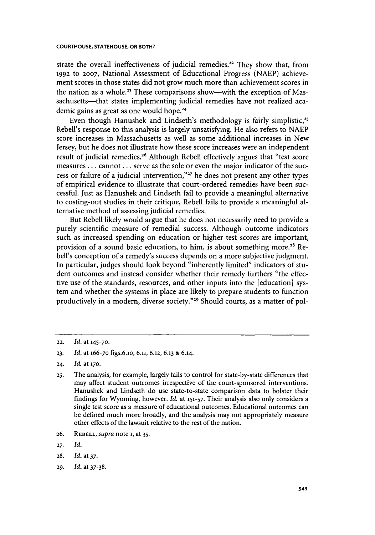strate the overall ineffectiveness of judicial remedies.<sup>22</sup> They show that, from 1992 to **2007,** National Assessment of Educational Progress (NAEP) achievement scores in those states did not grow much more than achievement scores in the nation as a whole.<sup>23</sup> These comparisons show—with the exception of Massachusetts-that states implementing judicial remedies have not realized academic gains as great as one would hope.<sup>24</sup>

Even though Hanushek and Lindseth's methodology is fairly simplistic.<sup>25</sup> Rebell's response to this analysis is largely unsatisfying. He also refers to NAEP score increases in Massachusetts as well as some additional increases in New Jersey, but he does not illustrate how these score increases were an independent result of judicial remedies.<sup>26</sup> Although Rebell effectively argues that "test score measures **...** cannot.., serve as the sole or even the major indicator of the success or failure of a judicial intervention,"<sup>27</sup> he does not present any other types of empirical evidence to illustrate that court-ordered remedies have been successful. Just as Hanushek and Lindseth fail to provide a meaningful alternative to costing-out studies in their critique, Rebell fails to provide a meaningful alternative method of assessing judicial remedies.

But Rebell likely would argue that he does not necessarily need to provide a purely scientific measure of remedial success. Although outcome indicators such as increased spending on education or higher test scores are important, provision of a sound basic education, to him, is about something more.<sup>28</sup> Rebell's conception of a remedy's success depends on a more subjective judgment. In particular, judges should look beyond "inherently limited" indicators of student outcomes and instead consider whether their remedy furthers "the effective use of the standards, resources, and other inputs into the [education] system and whether the systems in place are likely to prepare students to function productively in a modern, diverse society."<sup>29</sup> Should courts, as a matter of pol-

**26.** REBELL, *supra* note **i,** at **35.**

- **28.** *Id.* at **37.**
- 29. *Id.* at **37-38.**

**<sup>22.</sup>** *Id.* at **145-70.**

**<sup>23.</sup>** *Id.* at 166-70 figs.6.io, 6.11, **6.12, 6.13 &** 6.14.

**<sup>24.</sup>** *Id.* at **170.**

**<sup>25.</sup>** The analysis, for example, largely fails to control for state-by-state differences that may affect student outcomes irrespective of the court-sponsored interventions. Hanushek and Lindseth do use state-to-state comparison data to bolster their findings for Wyoming, however. *Id.* at **151-57.** Their analysis also only considers a single test score as a measure of educational outcomes. Educational outcomes can be defined much more broadly, and the analysis may not appropriately measure other effects of the lawsuit relative to the rest of the nation.

**<sup>27.</sup>** *Id.*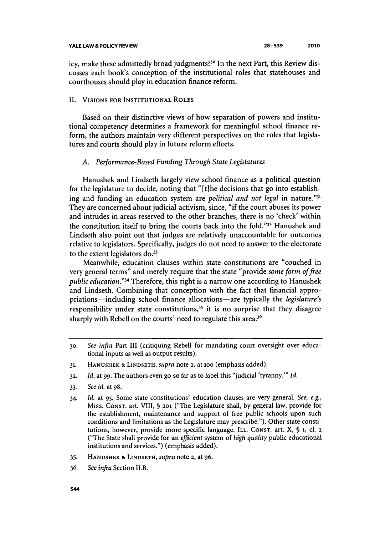icy, make these admittedly broad judgments?<sup>30</sup> In the next Part, this Review discusses each book's conception of the institutional roles that statehouses and courthouses should play in education finance reform.

## II. VISIONS FOR INSTITUTIONAL ROLES

Based on their distinctive views of how separation of powers and institutional competency determines a framework for meaningful school finance reform, the authors maintain very different perspectives on the roles that legislatures and courts should play in future reform efforts.

## *A. Performance-Based Funding Through State Legislatures*

Hanushek and Lindseth largely view school finance as a political question for the legislature to decide, noting that "[t]he decisions that go into establishing and funding an education system are *political and not legal* in nature."3 ' They are concerned about judicial activism, since, "if the court abuses its power and intrudes in areas reserved to the other branches, there is no 'check' within the constitution itself to bring the courts back into the fold."<sup>32</sup> Hanushek and Lindseth also point out that judges are relatively unaccountable for outcomes relative to legislators. Specifically, judges do not need to answer to the electorate to the extent legislators do.<sup>33</sup>

Meanwhile, education clauses within state constitutions are "couched in very general terms" and merely require that the state "provide *some form of free public education."34* Therefore, this right is a narrow one according to Hanushek and Lindseth. Combining that conception with the fact that financial appropriations-including school finance allocations-are typically the *legislature's* responsibility under state constitutions,<sup>35</sup> it is no surprise that they disagree sharply with Rebell on the courts' need to regulate this area.<sup>36</sup>

- 33. *See id.* at 98.
- 34. *Id.* at 95. Some state constitutions' education clauses are very general. *See, e.g.,* Miss. **CONST.** art. VIII, § **201** ("The Legislature shall, by general law, provide for the establishment, maintenance and support of free public schools upon such conditions and limitations as the Legislature may prescribe."). Other state constitutions, however, provide more specific language. ILL. CONST. art. X, § **1, cl.** 2 ("The State shall provide for an *efficient* system of *high quality* public educational institutions and services.") (emphasis added).
- 35. **HANUSHEK** & LINDSETH, *supra* note 2, at 96.
- 36. *See infra* Section II.B.

<sup>30.</sup> *See infra* Part III (critiquing Rebell for mandating court oversight over educational inputs as well as output results).

**<sup>31.</sup>** HANUSHEK & LINDSETH, *supra* note 2, at ioo (emphasis added).

**<sup>32.</sup>** *Id.* at **99.** The authors even go so far as to label this "judicial 'tyranny."' *Id.*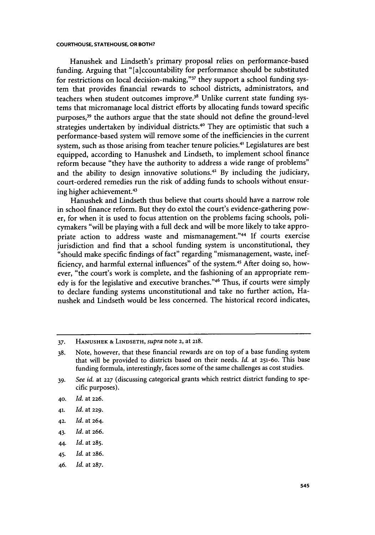Hanushek and Lindseth's primary proposal relies on performance-based funding. Arguing that "[a]ccountability for performance should be substituted for restrictions on local decision-making,"<sup>37</sup> they support a school funding system that provides financial rewards to school districts, administrators, and teachers when student outcomes improve. $3<sup>8</sup>$  Unlike current state funding systems that micromanage local district efforts by allocating funds toward specific purposes,<sup>39</sup> the authors argue that the state should not define the ground-level strategies undertaken by individual districts.<sup>40</sup> They are optimistic that such a performance-based system will remove some of the inefficiencies in the current system, such as those arising from teacher tenure policies.4' Legislatures are best equipped, according to Hanushek and Lindseth, to implement school finance reform because "they have the authority to address a wide range of problems" and the ability to design innovative solutions.<sup>42</sup> By including the judiciary, court-ordered remedies run the risk of adding funds to schools without ensuring higher achievement.<sup>43</sup>

Hanushek and Lindseth thus believe that courts should have a narrow role in school finance reform. But they do extol the court's evidence-gathering power, for when it is used to focus attention on the problems facing schools, policymakers "will be playing with a full deck and will be more likely to take appropriate action to address waste and mismanagement."<sup>44</sup> If courts exercise jurisdiction and find that a school funding system is unconstitutional, they "should make specific findings of fact" regarding "mismanagement, waste, inefficiency, and harmful external influences" of the system.<sup>45</sup> After doing so, however, "the court's work is complete, and the fashioning of an appropriate remedy is for the legislative and executive branches."<sup>46</sup> Thus, if courts were simply to declare funding systems unconstitutional and take no further action, Hanushek and Lindseth would be less concerned. The historical record indicates,

- 43. *Id.* at **266.**
- 44. *Id.* at **285.**
- 45. *Id.* at 286.
- 46. *Id.* at **287.**

*<sup>37.</sup>* HANUSHEK **&** LINDSETH, supra note 2, at **218.**

<sup>38.</sup> Note, however, that these financial rewards are on top of a base funding system that will be provided to districts based on their needs. *Id.* at 251-60. This base funding formula, interestingly, faces some of the same challenges as cost studies.

<sup>39.</sup> *See id.* at **227** (discussing categorical grants which restrict district funding to specific purposes).

**<sup>40.</sup>** *Id.* at **226.**

<sup>41.</sup> *Id.* at 229.

<sup>42.</sup> *Id.* at 264.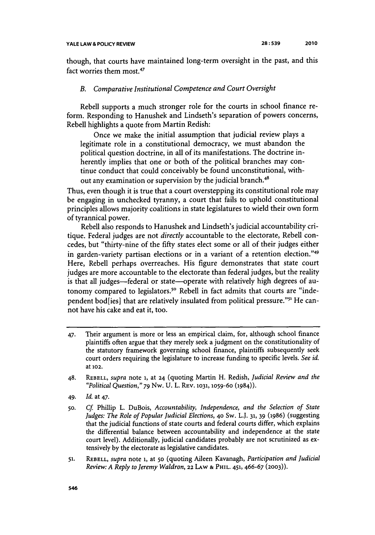though, that courts have maintained long-term oversight in the past, and this fact worries them most.<sup>47</sup>

## *B. Comparative Institutional Competence and Court Oversight*

Rebell supports a much stronger role for the courts in school finance reform. Responding to Hanushek and Lindseth's separation of powers concerns, Rebell highlights a quote from Martin Redish:

Once we make the initial assumption that judicial review plays a legitimate role in a constitutional democracy, we must abandon the political question doctrine, in all of its manifestations. The doctrine inherently implies that one or both of the political branches may continue conduct that could conceivably be found unconstitutional, without any examination or supervision by the judicial branch.<sup>48</sup>

Thus, even though it is true that a court overstepping its constitutional role may be engaging in unchecked tyranny, a court that fails to uphold constitutional principles allows majority coalitions in state legislatures to wield their own form of tyrannical power.

Rebell also responds to Hanushek and Lindseth's judicial accountability critique. Federal judges are not *directly* accountable to the electorate, Rebell concedes, but "thirty-nine of the fifty states elect some or all of their judges either in garden-variety partisan elections or in a variant of a retention election."<sup>49</sup> Here, Rebell perhaps overreaches. His figure demonstrates that state court judges are more accountable to the electorate than federal judges, but the reality is that all judges-federal or state-operate with relatively high degrees of autonomy compared to legislators.<sup>50</sup> Rebell in fact admits that courts are "independent bod[ies] that are relatively insulated from political pressure."<sup>51</sup> He cannot have his cake and eat it, too.

- 48. REBELL, *supra* note **1,** at 24 (quoting Martin H. Redish, *Judicial Review and the "Political Question," 79* Nw. U. L. REV. **1031, 1059-6o** (1984)).
- *49. Id.* at 47.
- 5o. *Cf* Phillip L. DuBois, *Accountability, Independence, and the Selection of State Judges: The Role of Popular Judicial Elections,* 40 Sw. L.J. **31,** 39 (1986) (suggesting that the judicial functions of state courts and federal courts differ, which explains the differential balance between accountability and independence at the state court level). Additionally, judicial candidates probably are not scrutinized as extensively by the electorate as legislative candidates.
- **51. REBELL,** *supra* note **1,** at *50* (quoting Aileen Kavanagh, *Participation and Judicial Review: A Reply to Jeremy Waldron,* **22** LAw **& PHIL.** 451, **466-67 (2003)).**

<sup>47.</sup> Their argument is more or less an empirical claim, for, although school finance plaintiffs often argue that they merely seek a judgment on the constitutionality of the statutory framework governing school finance, plaintiffs subsequently seek court orders requiring the legislature to increase funding to specific levels. *See id.* at 102.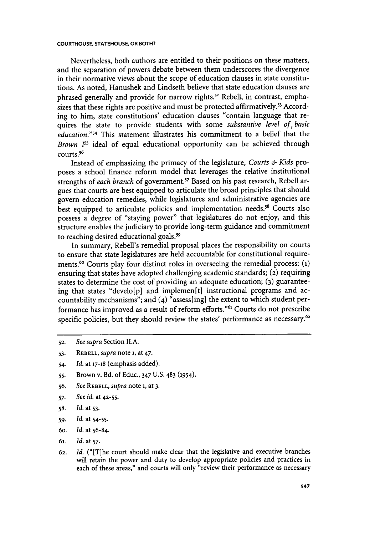Nevertheless, both authors are entitled to their positions on these matters, and the separation of powers debate between them underscores the divergence in their normative views about the scope of education clauses in state constitutions. As noted, Hanushek and Lindseth believe that state education clauses are phrased generally and provide for narrow rights.<sup>52</sup> Rebell, in contrast, emphasizes that these rights are positive and must be protected affirmatively.<sup>53</sup> According to him, state constitutions' education clauses "contain language that requires the state to provide students with some *substantive level of, basic* education."<sup>54</sup> This statement illustrates his commitment to a belief that the *Brown* **P5** ideal of equal educational opportunity can be achieved through courts. 56

Instead of emphasizing the primacy of the legislature, *Courts & Kids* proposes a school finance reform model that leverages the relative institutional strengths of *each branch* of government.57 Based on his past research, Rebell argues that courts are best equipped to articulate the broad principles that should govern education remedies, while legislatures and administrative agencies are best equipped to articulate policies and implementation needs.<sup>58</sup> Courts also possess a degree of "staying power" that legislatures do not enjoy, and this structure enables the judiciary to provide long-term guidance and commitment to reaching desired educational goals.<sup>59</sup>

In summary, Rebell's remedial proposal places the responsibility on courts to ensure that state legislatures are held accountable for constitutional requirements.6 ° Courts play four distinct roles in overseeing the remedial process: **(i)** ensuring that states have adopted challenging academic standards; (2) requiring states to determine the cost of providing an adequate education; **(3)** guaranteeing that states "develo[p] and implemen[t] instructional programs and accountability mechanisms"; and (4) "assess[ing] the extent to which student performance has improved as a result of reform efforts."<sup>61</sup> Courts do not prescribe specific policies, but they should review the states' performance as necessary.<sup>62</sup>

- 54. Id. at **17-18** (emphasis added).
- **55.** Brown v. Bd. of Educ., 347 U.S. 483 (1954).
- 56. *See* REBELL, *supra* note **1,** at 3.
- *57. See id.* at 42-55.
- **58.** *Id.* at 53.
- *59. Id.* at 54-55.
- 6o. *Id.* at *56-84.*
- 6. *Id.* at *57.*
- **62.** *Id.* ("[T]he court should make clear that the legislative and executive branches will retain the power and duty to develop appropriate policies and practices in each of these areas," and courts will only "review their performance as necessary

**<sup>52.</sup>** *See supra* Section II.A.

**<sup>53.</sup> REBELL,** *supra* note **i,** at *47.*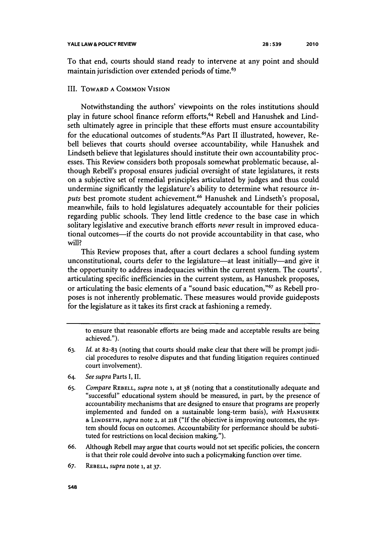**28:539 2010**

To that end, **courts** should stand ready to intervene at any point and should maintain jurisdiction over extended periods of time. $^6$ 

## III. **TOWARD A COMMON VISION**

Notwithstanding the authors' viewpoints on the roles institutions should play in future school finance reform efforts,<sup>64</sup> Rebell and Hanushek and Lindseth ultimately agree in principle that these efforts must ensure accountability for the educational outcomes of students.<sup>65</sup>As Part II illustrated, however, Rebell believes that courts should oversee accountability, while Hanushek and Lindseth believe that legislatures should institute their own accountability processes. This Review considers both proposals somewhat problematic because, although Rebell's proposal ensures judicial oversight of state legislatures, it rests on a subjective set of remedial principles articulated **by** judges and thus could undermine significantly the legislature's ability to determine what resource *in*puts best promote student achievement.<sup>66</sup> Hanushek and Lindseth's proposal, meanwhile, fails to hold legislatures adequately accountable for their policies regarding public schools. They lend little credence to the base case in which solitary legislative and executive branch efforts *never* result in improved educational outcomes-if the courts do not provide accountability in that case, who **will?**

This Review proposes that, after a court declares a school funding system unconstitutional, courts defer to the legislature-at least initially-and give it the opportunity to address inadequacies within the current system. The courts'. articulating specific inefficiencies in the current system, as Hanushek proposes, or articulating the basic elements of a "sound basic education,"<sup>67</sup> as Rebell proposes is not inherently problematic. These measures would provide guideposts for the legislature as it takes its first crack at fashioning a remedy.

to ensure that reasonable efforts are being made and acceptable results are being achieved.").

- **63.** *Id.* at **82-83** (noting that courts should make clear that there will be prompt judicial procedures to resolve disputes and that funding litigation requires continued court involvement).
- **64.** *See supra* Parts **I, II.**
- **65.** *Compare* **REBELL,** *supra* note **I,** at **38** (noting that a constitutionally adequate and "successful" educational system should be measured, in part, **by** the presence of accountability mechanisms that are designed to ensure that programs are properly implemented and funded on a sustainable long-term basis), *with* **HANUSHEK & LINDSETH,** *supra* note **2,** at **218 ("If** the objective is improving outcomes, the system should focus on outcomes. Accountability for performance should be substituted for restrictions on local decision making.").
- **66.** Although Rebell may argue that courts would not set specific policies, the concern is that their role could devolve into such a policymaking function over time.
- *67.* **REBELL,** *supra* note **1,** at **37.**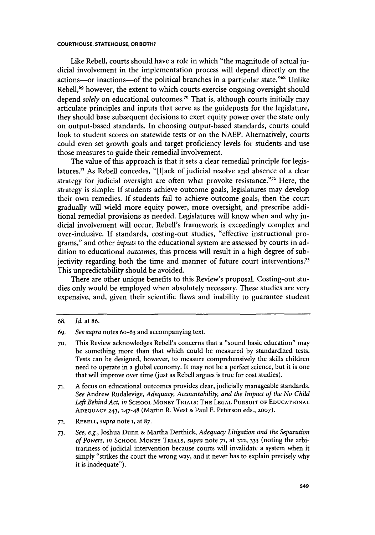Like Rebell, courts should have a role in which "the magnitude of actual judicial involvement in the implementation process will depend directly on the actions-or inactions-of the political branches in a particular state.<sup>768</sup> Unlike Rebell,<sup>69</sup> however, the extent to which courts exercise ongoing oversight should depend *solely* on educational outcomes.<sup>70</sup> That is, although courts initially may articulate principles and inputs that serve as the guideposts for the legislature, they should base subsequent decisions to exert equity power over the state only on output-based standards. In choosing output-based standards, courts could look to student scores on statewide tests or on the NAEP. Alternatively, courts could even set growth goals and target proficiency levels for students and use those measures to guide their remedial involvement.

The value of this approach is that it sets a clear remedial principle for legislatures.<sup>71</sup> As Rebell concedes, "[l] ack of judicial resolve and absence of a clear strategy for judicial oversight are often what provoke resistance." $72$  Here, the strategy is simple: If students achieve outcome goals, legislatures may develop their own remedies. If students fail to achieve outcome goals, then the court gradually will wield more equity power, more oversight, and prescribe additional remedial provisions as needed. Legislatures will know when and why judicial involvement will occur. Rebell's framework is exceedingly complex and over-inclusive. If standards, costing-out studies, "effective instructional programs," and other *inputs* to the educational system are assessed by courts in addition to educational *outcomes,* this process will result in a high degree of subjectivity regarding both the time and manner of future court interventions.<sup>73</sup> This unpredictability should be avoided.

There are other unique benefits to this Review's proposal. Costing-out studies only would be employed when absolutely necessary. These studies are very expensive, and, given their scientific flaws and inability to guarantee student

**72.** REBELL, *supra* note **1,** at 87.

<sup>68.</sup> *Id.* at 86.

<sup>69.</sup> *See supra* notes 60-63 and accompanying text.

**<sup>70.</sup>** This Review acknowledges Rebell's concerns that a "sound basic education" may be something more than that which could be measured **by** standardized tests. Tests can be designed, however, to measure comprehensively the skills children need to operate in a global economy. It may not be a perfect science, but it is one that will improve over time (just as Rebell argues is true for cost studies).

**<sup>71.</sup>** A focus on educational outcomes provides clear, judicially manageable standards. *See* Andrew Rudalevige, *Adequacy, Accountability, and the Impact of the No Child Left Behind Act, in* SCHOOL MONEY TRIALS: THE **LEGAL** PURSUIT OF EDUCATIONAL ADEQUACY 243, 247-48 (Martin R. West **&** Paul E. Peterson eds., **2007).**

*<sup>73.</sup> See, e.g.,* Joshua Dunn **&** Martha Derthick, *Adequacy Litigation and the Separation of Powers, in* SCHOOL MONEY TRIALS, *supra* note **71,** at **322,** 333 (noting the arbitrariness of judicial intervention because courts will invalidate a system when it simply "strikes the court the wrong way, and it never has to explain precisely why it is inadequate").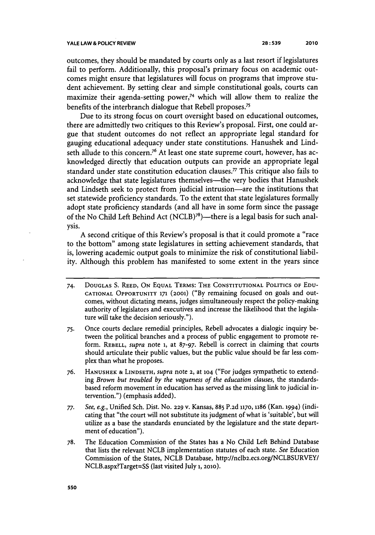outcomes, they should be mandated by courts only as a last resort if legislatures fail to perform. Additionally, this proposal's primary focus on academic outcomes might ensure that legislatures will focus on programs that improve student achievement. By setting clear and simple constitutional goals, courts can maximize their agenda-setting power,<sup>74</sup> which will allow them to realize the benefits of the interbranch dialogue that Rebell proposes.75

Due to its strong focus on court oversight based on educational outcomes, there are admittedly two critiques to this Review's proposal. First, one could argue that student outcomes do not reflect an appropriate legal standard for gauging educational adequacy under state constitutions. Hanushek and Lindseth allude to this concern.<sup>76</sup> At least one state supreme court, however, has acknowledged directly that education outputs can provide an appropriate legal standard under state constitution education clauses. $\frac{7}{7}$  This critique also fails to acknowledge that state legislatures themselves—the very bodies that Hanushek and Lindseth seek to protect from judicial intrusion-are the institutions that set statewide proficiency standards. To the extent that state legislatures formally adopt state proficiency standards (and all have in some form since the passage of the No Child Left Behind Act  $(NCLB)^{78}$ )—there is a legal basis for such analysis.

A second critique of this Review's proposal is that it could promote a "race to the bottom" among state legislatures in setting achievement standards, that is, lowering academic output goals to minimize the risk of constitutional liability. Although this problem has manifested to some extent in the years since

- 74. DOUGLAS **S.** REED, ON EQUAL TERMS: THE CONSTITUTIONAL POLITICS OF EDU-**CATIONAL** OPPORTUNITY **171** (2001) ("By remaining focused on goals and outcomes, without dictating means, judges simultaneously respect the policy-making authority of legislators and executives and increase the likelihood that the legislature will take the decision seriously.").
- 75. Once courts declare remedial principles, Rebell advocates a dialogic inquiry between the political branches and a process of public engagement to promote reform. REBELL, *supra* note **1,** at 87-97. Rebell is correct in claiming that courts should articulate their public values, but the public value should be far less complex than what he proposes.
- *76.* HANUSHEK **& LINDSETH,** *supra* note **2,** at **104** ("For judges sympathetic to extending *Brown but troubled by the vagueness of the education clauses,* the standardsbased reform movement in education has served as the missing link to judicial intervention.") (emphasis added).
- *77. See, e.g.,* Unified Sch. Dist. No. 229 v. Kansas, 885 P.2d **1170,** 1186 (Kan. 1994) (indicating that "the court will not substitute its judgment of what is 'suitable', but will utilize as a base the standards enunciated by the legislature and the state department of education").
- 78. The Education Commission of the States has a No Child Left Behind Database that lists the relevant NCLB implementation statutes of each state. *See* Education Commission of the States, NCLB Database, http://nclb2.ecs.org/NCLBSURVEY/ NCLB.aspx?Target=SS (last visited July **1, 2010).**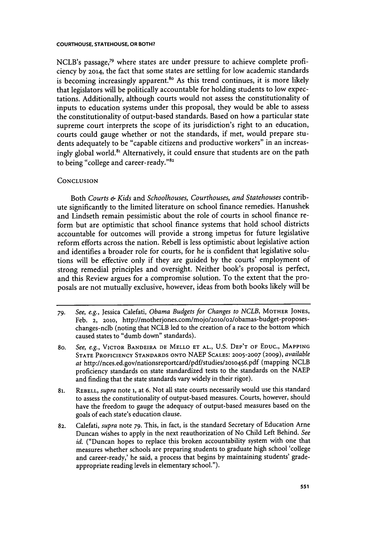NCLB's passage,<sup>79</sup> where states are under pressure to achieve complete proficiency by 2014, the fact that some states are settling for low academic standards is becoming increasingly apparent.<sup>80</sup> As this trend continues, it is more likely that legislators will be politically accountable for holding students to low expectations. Additionally, although courts would not assess the constitutionality of inputs to education systems under this proposal, they would be able to assess the constitutionality of output-based standards. Based on how a particular state supreme court interprets the scope of its jurisdiction's right to an education, courts could gauge whether or not the standards, if met, would prepare students adequately to be "capable citizens and productive workers" in an increasingly global world.<sup>81</sup> Alternatively, it could ensure that students are on the path to being "college and career-ready."<sup>82</sup>

## **CONCLUSION**

Both *Courts & Kids* and *Schoolhouses, Courthouses, and Statehouses* contribute significantly to the limited literature on school finance remedies. Hanushek and Lindseth remain pessimistic about the role of courts in school finance reform but are optimistic that school finance systems that hold school districts accountable for outcomes will provide a strong impetus for future legislative reform efforts across the nation. Rebell is less optimistic about legislative action and identifies a broader role for courts, for he is confident that legislative solutions will be effective only if they are guided by the courts' employment of strong remedial principles and oversight. Neither book's proposal is perfect, and this Review argues for a compromise solution. To the extent that the proposals are not mutually exclusive, however, ideas from both books likely will be

- **79.** *See, e.g.,* Jessica Calefati, *Obama Budgets for Changes to NCLB,* MOTHER **JONES,** Feb. 2, 2010, http://motherjones.com/mojo/2010/02/obamas-budget-proposeschanges-nclb (noting that NCLB led to the creation of a race to the bottom which caused states to "dumb down" standards).
- **80.** *See, e.g.,* VICTOR BANDEIRA **DE** MELLO **ET AL., U.S.** DEP'T **OF EDUC., MAPPING STATE** PROFICIENCY **STANDARDS** ONTO NAEP **SCALES: 2005-2007** (2009), *available* at http://nces.ed.gov/nationsreportcard/pdf/studies/2oo456.pdf (mapping NCLB proficiency standards on state standardized tests to the standards on the NAEP and finding that the state standards vary widely in their rigor).
- **81. REBELL,** *supra* note **1,** at 6. Not all state courts necessarily would use this standard to assess the constitutionality of output-based measures. Courts, however, should have the freedom to gauge the adequacy of output-based measures based on the goals of each state's education clause.
- **82.** Calefati, *supra* note 79. This, in fact, is the standard Secretary of Education Arne Duncan wishes to apply in the next reauthorization of No Child Left Behind. *See id.* ("Duncan hopes to replace this broken accountability system with one that measures whether schools are preparing students to graduate high school 'college and career-ready,' he said, a process that begins by maintaining students' gradeappropriate reading levels in elementary school.").